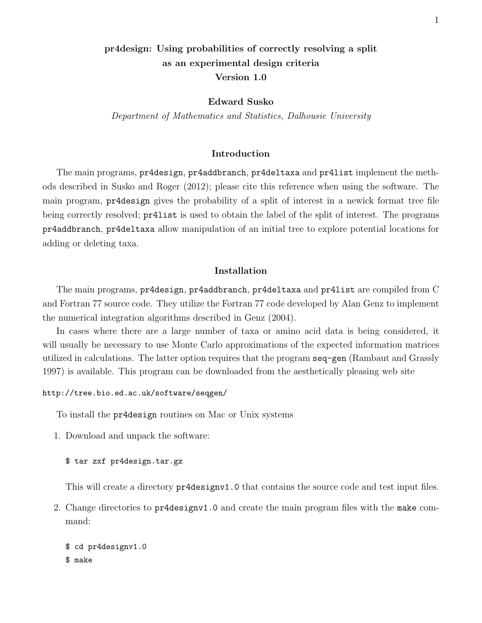# pr4design: Using probabilities of correctly resolving a split as an experimental design criteria Version 1.0

Edward Susko

Department of Mathematics and Statistics, Dalhousie University

# Introduction

The main programs, pr4design, pr4addbranch, pr4deltaxa and pr4list implement the methods described in Susko and Roger (2012); please cite this reference when using the software. The main program, pr4design gives the probability of a split of interest in a newick format tree file being correctly resolved; pr4list is used to obtain the label of the split of interest. The programs pr4addbranch, pr4deltaxa allow manipulation of an initial tree to explore potential locations for adding or deleting taxa.

# Installation

The main programs, pr4design, pr4addbranch, pr4deltaxa and pr4list are compiled from C and Fortran 77 source code. They utilize the Fortran 77 code developed by Alan Genz to implement the numerical integration algorithms described in Genz (2004).

In cases where there are a large number of taxa or amino acid data is being considered, it will usually be necessary to use Monte Carlo approximations of the expected information matrices utilized in calculations. The latter option requires that the program seq-gen (Rambaut and Grassly 1997) is available. This program can be downloaded from the aesthetically pleasing web site

#### http://tree.bio.ed.ac.uk/software/seqgen/

To install the pr4design routines on Mac or Unix systems

1. Download and unpack the software:

\$ tar zxf pr4design.tar.gz

This will create a directory pr4designv1.0 that contains the source code and test input files.

2. Change directories to pr4designv1.0 and create the main program files with the make command:

\$ cd pr4designv1.0 \$ make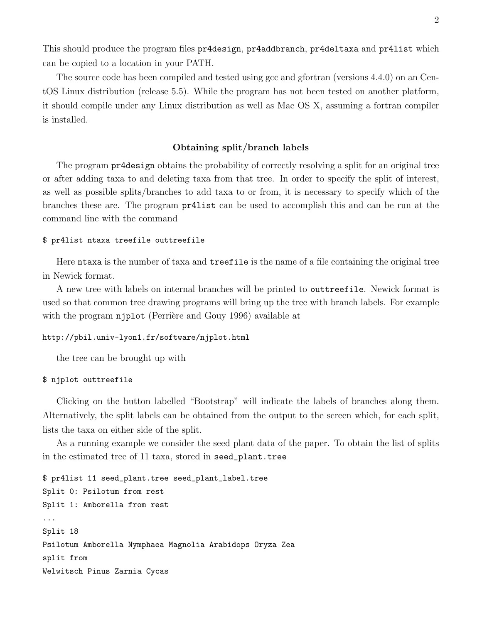This should produce the program files pr4design, pr4addbranch, pr4deltaxa and pr4list which can be copied to a location in your PATH.

The source code has been compiled and tested using gcc and gfortran (versions 4.4.0) on an CentOS Linux distribution (release 5.5). While the program has not been tested on another platform, it should compile under any Linux distribution as well as Mac OS X, assuming a fortran compiler is installed.

# Obtaining split/branch labels

The program pr4design obtains the probability of correctly resolving a split for an original tree or after adding taxa to and deleting taxa from that tree. In order to specify the split of interest, as well as possible splits/branches to add taxa to or from, it is necessary to specify which of the branches these are. The program pr4list can be used to accomplish this and can be run at the command line with the command

#### \$ pr4list ntaxa treefile outtreefile

Here ntaxa is the number of taxa and treefile is the name of a file containing the original tree in Newick format.

A new tree with labels on internal branches will be printed to outtreefile. Newick format is used so that common tree drawing programs will bring up the tree with branch labels. For example with the program njplot (Perrière and Gouy 1996) available at

# http://pbil.univ-lyon1.fr/software/njplot.html

the tree can be brought up with

#### \$ njplot outtreefile

Clicking on the button labelled "Bootstrap" will indicate the labels of branches along them. Alternatively, the split labels can be obtained from the output to the screen which, for each split, lists the taxa on either side of the split.

As a running example we consider the seed plant data of the paper. To obtain the list of splits in the estimated tree of 11 taxa, stored in seed\_plant.tree

```
$ pr4list 11 seed_plant.tree seed_plant_label.tree
Split 0: Psilotum from rest
Split 1: Amborella from rest
...
Split 18
Psilotum Amborella Nymphaea Magnolia Arabidops Oryza Zea
split from
Welwitsch Pinus Zarnia Cycas
```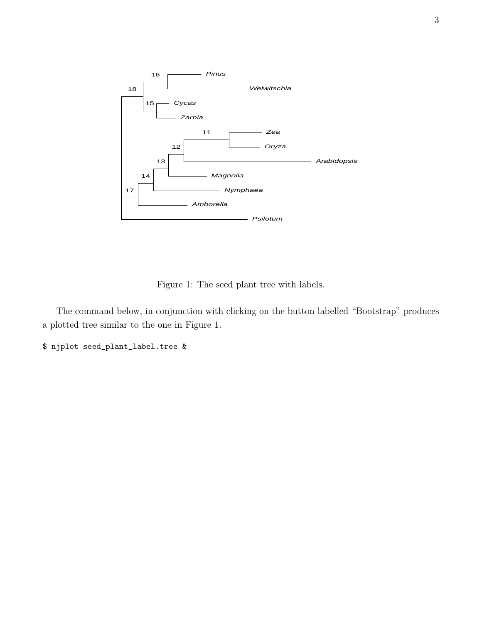

Figure 1: The seed plant tree with labels.

The command below, in conjunction with clicking on the button labelled "Bootstrap" produces a plotted tree similar to the one in Figure 1.

\$ njplot seed\_plant\_label.tree &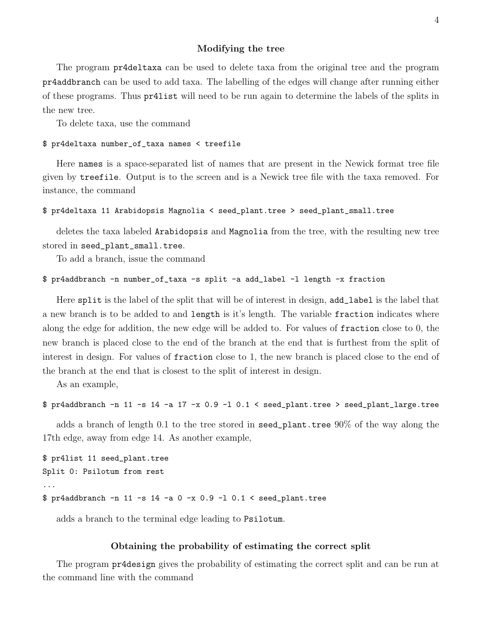#### Modifying the tree

The program pr4deltaxa can be used to delete taxa from the original tree and the program pr4addbranch can be used to add taxa. The labelling of the edges will change after running either of these programs. Thus pr4list will need to be run again to determine the labels of the splits in the new tree.

To delete taxa, use the command

#### \$ pr4deltaxa number\_of\_taxa names < treefile

Here names is a space-separated list of names that are present in the Newick format tree file given by treefile. Output is to the screen and is a Newick tree file with the taxa removed. For instance, the command

```
$ pr4deltaxa 11 Arabidopsis Magnolia < seed_plant.tree > seed_plant_small.tree
```
deletes the taxa labeled Arabidopsis and Magnolia from the tree, with the resulting new tree stored in seed\_plant\_small.tree.

To add a branch, issue the command

```
$ pr4addbranch -n number_of_taxa -s split -a add_label -l length -x fraction
```
Here split is the label of the split that will be of interest in design, add\_label is the label that a new branch is to be added to and length is it's length. The variable fraction indicates where along the edge for addition, the new edge will be added to. For values of fraction close to 0, the new branch is placed close to the end of the branch at the end that is furthest from the split of interest in design. For values of fraction close to 1, the new branch is placed close to the end of the branch at the end that is closest to the split of interest in design.

As an example,

```
$ pr4addbranch -n 11 -s 14 -a 17 -x 0.9 -l 0.1 < seed_plant.tree > seed_plant_large.tree
```
adds a branch of length 0.1 to the tree stored in seed\_plant.tree 90% of the way along the 17th edge, away from edge 14. As another example,

```
$ pr4list 11 seed_plant.tree
Split 0: Psilotum from rest
...
$ pr4addbranch -n 11 -s 14 -a 0 -x 0.9 -l 0.1 < seed_plant.tree
```
adds a branch to the terminal edge leading to Psilotum.

### Obtaining the probability of estimating the correct split

The program pr4design gives the probability of estimating the correct split and can be run at the command line with the command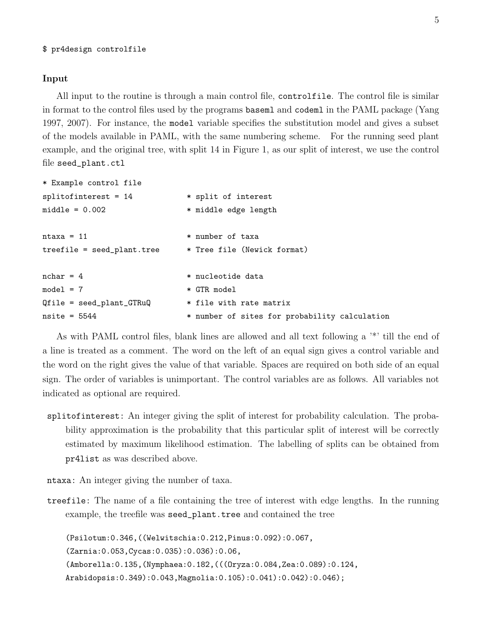#### \$ pr4design controlfile

### Input

All input to the routine is through a main control file, controlfile. The control file is similar in format to the control files used by the programs baseml and codeml in the PAML package (Yang 1997, 2007). For instance, the model variable specifies the substitution model and gives a subset of the models available in PAML, with the same numbering scheme. For the running seed plant example, and the original tree, with split 14 in Figure 1, as our split of interest, we use the control file seed\_plant.ctl

```
* Example control file
splitofinterest = 14 * split of interest
middle = 0.002 * middle edge length
ntaxa = 11 * number of taxa
treefile = seed_plant.tree * Tree file (Newick format)
nchar = 4 * nucleotide data
model = 7 * GTR modelQfile = seed_plant_GTRuQ * file with rate matrix
nsite = 5544 * number of sites for probability calculation
```
As with PAML control files, blank lines are allowed and all text following a '\*' till the end of a line is treated as a comment. The word on the left of an equal sign gives a control variable and the word on the right gives the value of that variable. Spaces are required on both side of an equal sign. The order of variables is unimportant. The control variables are as follows. All variables not indicated as optional are required.

splitofinterest: An integer giving the split of interest for probability calculation. The probability approximation is the probability that this particular split of interest will be correctly estimated by maximum likelihood estimation. The labelling of splits can be obtained from pr4list as was described above.

ntaxa: An integer giving the number of taxa.

treefile: The name of a file containing the tree of interest with edge lengths. In the running example, the treefile was seed\_plant.tree and contained the tree

(Psilotum:0.346,((Welwitschia:0.212,Pinus:0.092):0.067, (Zarnia:0.053,Cycas:0.035):0.036):0.06, (Amborella:0.135,(Nymphaea:0.182,(((Oryza:0.084,Zea:0.089):0.124, Arabidopsis:0.349):0.043,Magnolia:0.105):0.041):0.042):0.046);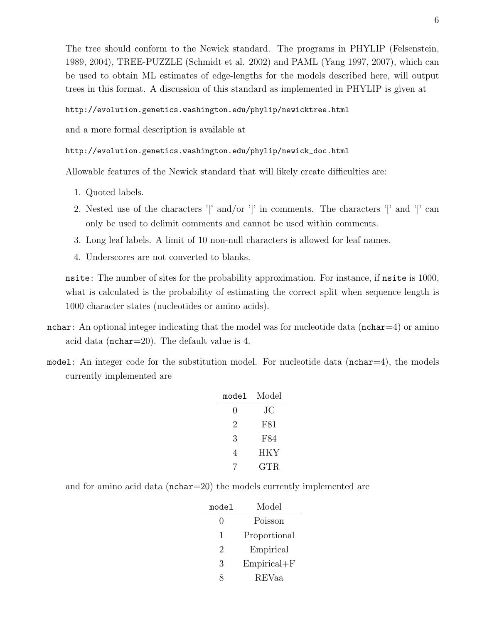The tree should conform to the Newick standard. The programs in PHYLIP (Felsenstein, 1989, 2004), TREE-PUZZLE (Schmidt et al. 2002) and PAML (Yang 1997, 2007), which can be used to obtain ML estimates of edge-lengths for the models described here, will output trees in this format. A discussion of this standard as implemented in PHYLIP is given at

### http://evolution.genetics.washington.edu/phylip/newicktree.html

and a more formal description is available at

# http://evolution.genetics.washington.edu/phylip/newick\_doc.html

Allowable features of the Newick standard that will likely create difficulties are:

- 1. Quoted labels.
- 2. Nested use of the characters '[' and/or ']' in comments. The characters '[' and ']' can only be used to delimit comments and cannot be used within comments.
- 3. Long leaf labels. A limit of 10 non-null characters is allowed for leaf names.
- 4. Underscores are not converted to blanks.

nsite: The number of sites for the probability approximation. For instance, if nsite is 1000, what is calculated is the probability of estimating the correct split when sequence length is 1000 character states (nucleotides or amino acids).

- nchar: An optional integer indicating that the model was for nucleotide data ( $nchar=4$ ) or amino acid data (nchar=20). The default value is 4.
- model: An integer code for the substitution model. For nucleotide data ( $nchar=4$ ), the models currently implemented are

| model | Model |
|-------|-------|
| 0     | JС    |
| 2     | F81   |
| 3     | F84   |
| 4     | HKY   |
|       | GTR.  |

and for amino acid data (nchar=20) the models currently implemented are

| model        | Model           |
|--------------|-----------------|
| $\mathbf{0}$ | Poisson         |
| 1            | Proportional    |
| 2            | Empirical       |
| 3            | $Empirical + F$ |
| 8            | REVaa           |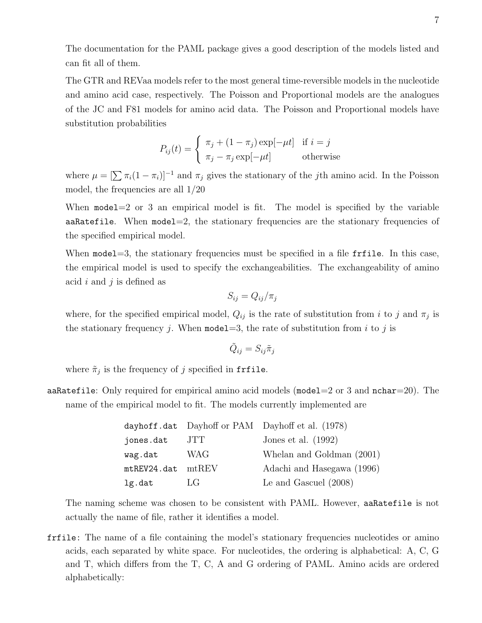The documentation for the PAML package gives a good description of the models listed and can fit all of them.

The GTR and REVaa models refer to the most general time-reversible models in the nucleotide and amino acid case, respectively. The Poisson and Proportional models are the analogues of the JC and F81 models for amino acid data. The Poisson and Proportional models have substitution probabilities

$$
P_{ij}(t) = \begin{cases} \pi_j + (1 - \pi_j) \exp[-\mu t] & \text{if } i = j \\ \pi_j - \pi_j \exp[-\mu t] & \text{otherwise} \end{cases}
$$

where  $\mu = [\sum \pi_i(1 - \pi_i)]^{-1}$  and  $\pi_j$  gives the stationary of the *j*th amino acid. In the Poisson model, the frequencies are all 1/20

When  $model=2$  or 3 an empirical model is fit. The model is specified by the variable aaRatefile. When model=2, the stationary frequencies are the stationary frequencies of the specified empirical model.

When model=3, the stationary frequencies must be specified in a file frilumeral in this case, the empirical model is used to specify the exchangeabilities. The exchangeability of amino acid i and j is defined as

$$
S_{ij}=Q_{ij}/\pi_j
$$

where, for the specified empirical model,  $Q_{ij}$  is the rate of substitution from i to j and  $\pi_j$  is the stationary frequency j. When model = 3, the rate of substitution from i to j is

$$
\tilde{Q}_{ij} = S_{ij}\tilde{\pi}_j
$$

where  $\tilde{\pi}_j$  is the frequency of j specified in frfile.

aaRatefile: Only required for empirical amino acid models (model=2 or 3 and  $nchar=20$ ). The name of the empirical model to fit. The models currently implemented are

|                         |            | dayhoff.dat Dayhoff or PAM Dayhoff et al. (1978) |
|-------------------------|------------|--------------------------------------------------|
| jones.dat               | JTT.       | Jones et al. $(1992)$                            |
| wag.dat                 | <b>WAG</b> | Whelan and Goldman (2001)                        |
| $m$ tREV24.dat $m$ tREV |            | Adachi and Hasegawa (1996)                       |
| lg.dat                  | LG         | Le and Gascuel $(2008)$                          |

The naming scheme was chosen to be consistent with PAML. However, aaRatefile is not actually the name of file, rather it identifies a model.

frfile: The name of a file containing the model's stationary frequencies nucleotides or amino acids, each separated by white space. For nucleotides, the ordering is alphabetical: A, C, G and T, which differs from the T, C, A and G ordering of PAML. Amino acids are ordered alphabetically: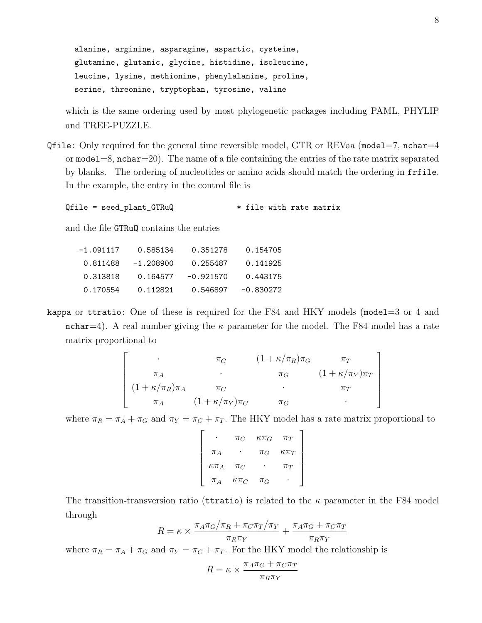alanine, arginine, asparagine, aspartic, cysteine, glutamine, glutamic, glycine, histidine, isoleucine, leucine, lysine, methionine, phenylalanine, proline, serine, threonine, tryptophan, tyrosine, valine

which is the same ordering used by most phylogenetic packages including PAML, PHYLIP and TREE-PUZZLE.

Qfile: Only required for the general time reversible model, GTR or REVaa (model=7, nchar=4 or  $\text{model}=8$ ,  $\text{nchar}=20$ ). The name of a file containing the entries of the rate matrix separated by blanks. The ordering of nucleotides or amino acids should match the ordering in frfile. In the example, the entry in the control file is

Qfile = seed\_plant\_GTRuQ  $*$  file with rate matrix

and the file GTRuQ contains the entries

| -1.091117 | 0.585134    | 0.351278    | 0.154705    |
|-----------|-------------|-------------|-------------|
| 0.811488  | $-1.208900$ | 0.255487    | 0.141925    |
| 0.313818  | 0.164577    | $-0.921570$ | 0.443175    |
| 0.170554  | 0.112821    | 0.546897    | $-0.830272$ |

kappa or ttratio: One of these is required for the F84 and HKY models (model=3 or 4 and nchar=4). A real number giving the  $\kappa$  parameter for the model. The F84 model has a rate matrix proportional to

$$
\begin{bmatrix}\n\cdot & \pi_C & (1 + \kappa/\pi_R)\pi_G & \pi_T \\
\pi_A & \cdot & \pi_G & (1 + \kappa/\pi_Y)\pi_T \\
(1 + \kappa/\pi_R)\pi_A & \pi_C & \cdot & \pi_T \\
\pi_A & (1 + \kappa/\pi_Y)\pi_C & \pi_G & \cdot\n\end{bmatrix}
$$

where  $\pi_R = \pi_A + \pi_G$  and  $\pi_Y = \pi_C + \pi_T$ . The HKY model has a rate matrix proportional to

|                | $\pi_C$        | $\kappa \pi_G$ | $\pi_T$        |
|----------------|----------------|----------------|----------------|
| $\pi_A$        |                | $\pi_G$        | $\kappa \pi_T$ |
| $\kappa \pi_A$ | $\pi_C$        |                | $\pi_T$        |
| $\pi_A$        | $\kappa \pi_C$ | $\pi_G$        |                |

The transition-transversion ratio (territories) is related to the  $\kappa$  parameter in the F84 model through

$$
R = \kappa \times \frac{\pi_A \pi_G/\pi_R + \pi_C \pi_T/\pi_Y}{\pi_R \pi_Y} + \frac{\pi_A \pi_G + \pi_C \pi_T}{\pi_R \pi_Y}
$$

where  $\pi_R = \pi_A + \pi_G$  and  $\pi_Y = \pi_C + \pi_T$ . For the HKY model the relationship is

$$
R = \kappa \times \frac{\pi_A \pi_G + \pi_C \pi_T}{\pi_R \pi_Y}
$$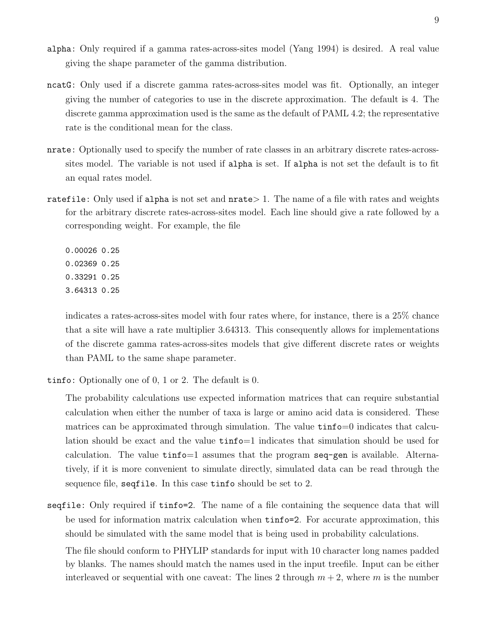- alpha: Only required if a gamma rates-across-sites model (Yang 1994) is desired. A real value giving the shape parameter of the gamma distribution.
- ncatG: Only used if a discrete gamma rates-across-sites model was fit. Optionally, an integer giving the number of categories to use in the discrete approximation. The default is 4. The discrete gamma approximation used is the same as the default of PAML 4.2; the representative rate is the conditional mean for the class.
- nrate: Optionally used to specify the number of rate classes in an arbitrary discrete rates-acrosssites model. The variable is not used if alpha is set. If alpha is not set the default is to fit an equal rates model.
- ratefile: Only used if alpha is not set and nrate > 1. The name of a file with rates and weights for the arbitrary discrete rates-across-sites model. Each line should give a rate followed by a corresponding weight. For example, the file

0.00026 0.25 0.02369 0.25 0.33291 0.25 3.64313 0.25

indicates a rates-across-sites model with four rates where, for instance, there is a 25% chance that a site will have a rate multiplier 3.64313. This consequently allows for implementations of the discrete gamma rates-across-sites models that give different discrete rates or weights than PAML to the same shape parameter.

tinfo: Optionally one of 0, 1 or 2. The default is 0.

The probability calculations use expected information matrices that can require substantial calculation when either the number of taxa is large or amino acid data is considered. These matrices can be approximated through simulation. The value tinfo=0 indicates that calculation should be exact and the value tinfo=1 indicates that simulation should be used for calculation. The value  $\tan 50 = 1$  assumes that the program  $\sec 79 = 1$  is available. Alternatively, if it is more convenient to simulate directly, simulated data can be read through the sequence file, seqfile. In this case tinfo should be set to 2.

seqfile: Only required if tinfo=2. The name of a file containing the sequence data that will be used for information matrix calculation when tinfo=2. For accurate approximation, this should be simulated with the same model that is being used in probability calculations.

The file should conform to PHYLIP standards for input with 10 character long names padded by blanks. The names should match the names used in the input treefile. Input can be either interleaved or sequential with one caveat: The lines 2 through  $m + 2$ , where m is the number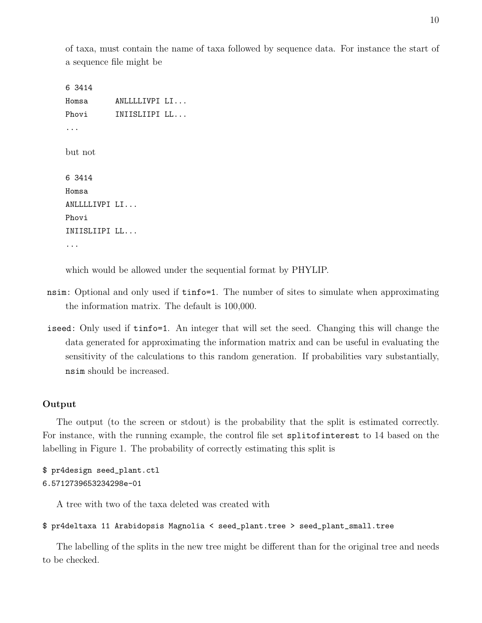of taxa, must contain the name of taxa followed by sequence data. For instance the start of a sequence file might be

```
6 3414
Homsa ANLLLLIVPI LI...
Phovi INIISLIIPI LL...
...
but not
6 3414
Homsa
ANLLLLIVPI LI...
Phovi
INIISLIIPI LL...
...
```
which would be allowed under the sequential format by PHYLIP.

- nsim: Optional and only used if tinfo=1. The number of sites to simulate when approximating the information matrix. The default is 100,000.
- iseed: Only used if tinfo=1. An integer that will set the seed. Changing this will change the data generated for approximating the information matrix and can be useful in evaluating the sensitivity of the calculations to this random generation. If probabilities vary substantially, nsim should be increased.

# Output

The output (to the screen or stdout) is the probability that the split is estimated correctly. For instance, with the running example, the control file set splitofinterest to 14 based on the labelling in Figure 1. The probability of correctly estimating this split is

```
$ pr4design seed_plant.ctl
6.5712739653234298e-01
```
A tree with two of the taxa deleted was created with

```
$ pr4deltaxa 11 Arabidopsis Magnolia < seed_plant.tree > seed_plant_small.tree
```
The labelling of the splits in the new tree might be different than for the original tree and needs to be checked.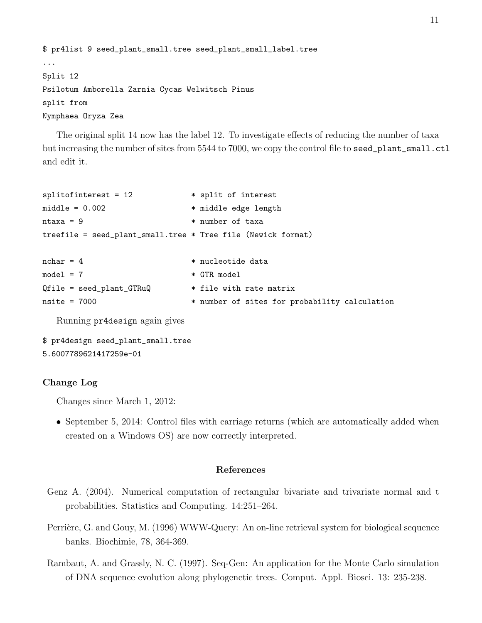```
$ pr4list 9 seed_plant_small.tree seed_plant_small_label.tree
...
Split 12
Psilotum Amborella Zarnia Cycas Welwitsch Pinus
split from
Nymphaea Oryza Zea
```
The original split 14 now has the label 12. To investigate effects of reducing the number of taxa but increasing the number of sites from 5544 to 7000, we copy the control file to seed\_plant\_small.ctl and edit it.

```
splitofinterest = 12 * split of interest
middle = 0.002 * middle edge length
ntaxa = 9 * * number of taxa
treefile = seed_plant_small.tree * Tree file (Newick format)
nchar = 4 * nucleotide data
model = 7 * GTR modelQfile = seed_plant_GTRuQ * file with rate matrix
nsite = 7000 * number of sites for probability calculation
```
Running pr4design again gives

```
$ pr4design seed_plant_small.tree
5.6007789621417259e-01
```
# Change Log

Changes since March 1, 2012:

• September 5, 2014: Control files with carriage returns (which are automatically added when created on a Windows OS) are now correctly interpreted.

## References

- Genz A. (2004). Numerical computation of rectangular bivariate and trivariate normal and t probabilities. Statistics and Computing. 14:251–264.
- Perrière, G. and Gouy, M. (1996) WWW-Query: An on-line retrieval system for biological sequence banks. Biochimie, 78, 364-369.
- Rambaut, A. and Grassly, N. C. (1997). Seq-Gen: An application for the Monte Carlo simulation of DNA sequence evolution along phylogenetic trees. Comput. Appl. Biosci. 13: 235-238.